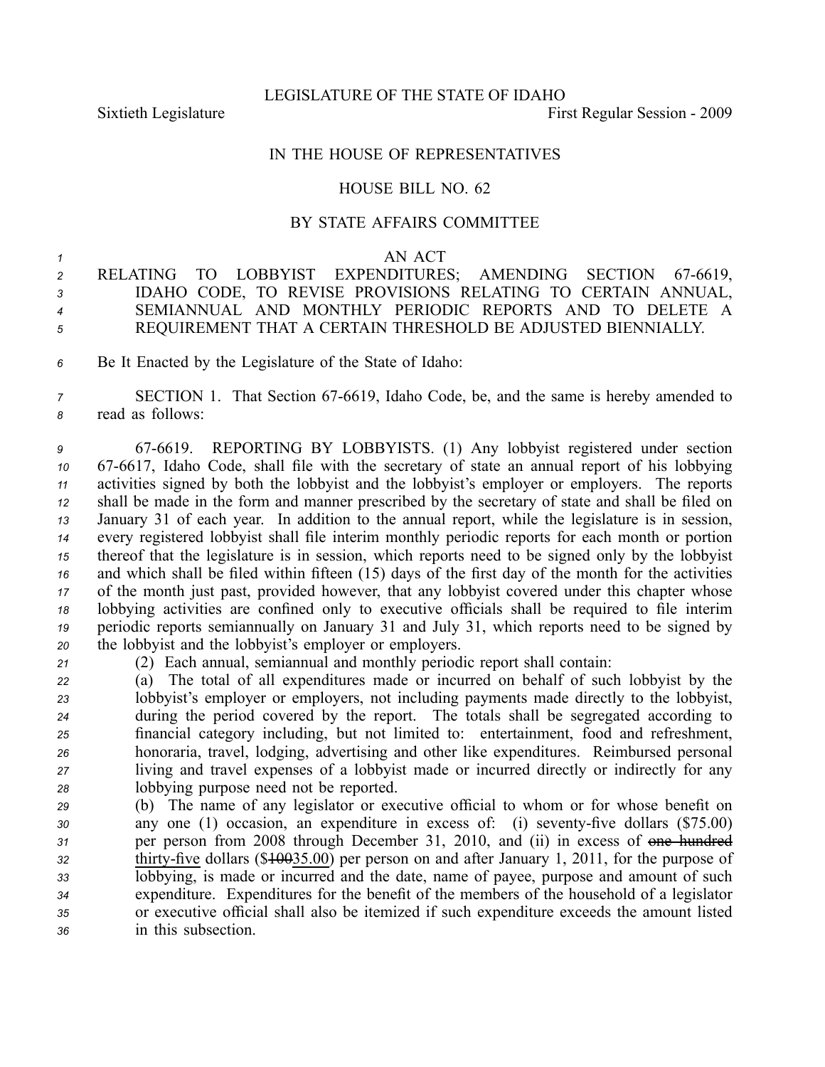LEGISLATURE OF THE STATE OF IDAHO

Sixtieth Legislature **First** Regular Session - 2009

## IN THE HOUSE OF REPRESENTATIVES

## HOUSE BILL NO. 62

## BY STATE AFFAIRS COMMITTEE

## *1* AN ACT

 RELATING TO LOBBYIST EXPENDITURES; AMENDING SECTION 676619, IDAHO CODE, TO REVISE PROVISIONS RELATING TO CERTAIN ANNUAL, SEMIANNUAL AND MONTHLY PERIODIC REPORTS AND TO DELETE A REQUIREMENT THAT A CERTAIN THRESHOLD BE ADJUSTED BIENNIALLY.

*<sup>6</sup>* Be It Enacted by the Legislature of the State of Idaho:

*<sup>7</sup>* SECTION 1. That Section 676619, Idaho Code, be, and the same is hereby amended to *<sup>8</sup>* read as follows:

 676619. REPORTING BY LOBBYISTS. (1) Any lobbyist registered under section 10 67-6617, Idaho Code, shall file with the secretary of state an annual report of his lobbying activities signed by both the lobbyist and the lobbyist's employer or employers. The reports shall be made in the form and manner prescribed by the secretary of state and shall be filed on January 31 of each year. In addition to the annual report, while the legislature is in session, every registered lobbyist shall file interim monthly periodic reports for each month or portion thereof that the legislature is in session, which reports need to be signed only by the lobbyist and which shall be filed within fifteen (15) days of the first day of the month for the activities of the month just past, provided however, that any lobbyist covered under this chapter whose lobbying activities are confined only to executive officials shall be required to file interim periodic reports semiannually on January 31 and July 31, which reports need to be signed by the lobbyist and the lobbyist's employer or employers.

*<sup>21</sup>* (2) Each annual, semiannual and monthly periodic repor<sup>t</sup> shall contain:

 (a) The total of all expenditures made or incurred on behalf of such lobbyist by the lobbyist's employer or employers, not including payments made directly to the lobbyist, during the period covered by the report. The totals shall be segregated according to financial category including, but not limited to: entertainment, food and refreshment, honoraria, travel, lodging, advertising and other like expenditures. Reimbursed personal living and travel expenses of <sup>a</sup> lobbyist made or incurred directly or indirectly for any lobbying purpose need not be reported.

 (b) The name of any legislator or executive official to whom or for whose benefit on 30 any one (1) occasion, an expenditure in excess of: (i) seventy-five dollars (\$75.00) per person from 2008 through December 31, 2010, and (ii) in excess of one hundred thirty-five dollars (\$<del>100</del>35.00) per person on and after January 1, 2011, for the purpose of lobbying, is made or incurred and the date, name of payee, purpose and amount of such expenditure. Expenditures for the benefit of the members of the household of <sup>a</sup> legislator or executive official shall also be itemized if such expenditure exceeds the amount listed in this subsection.